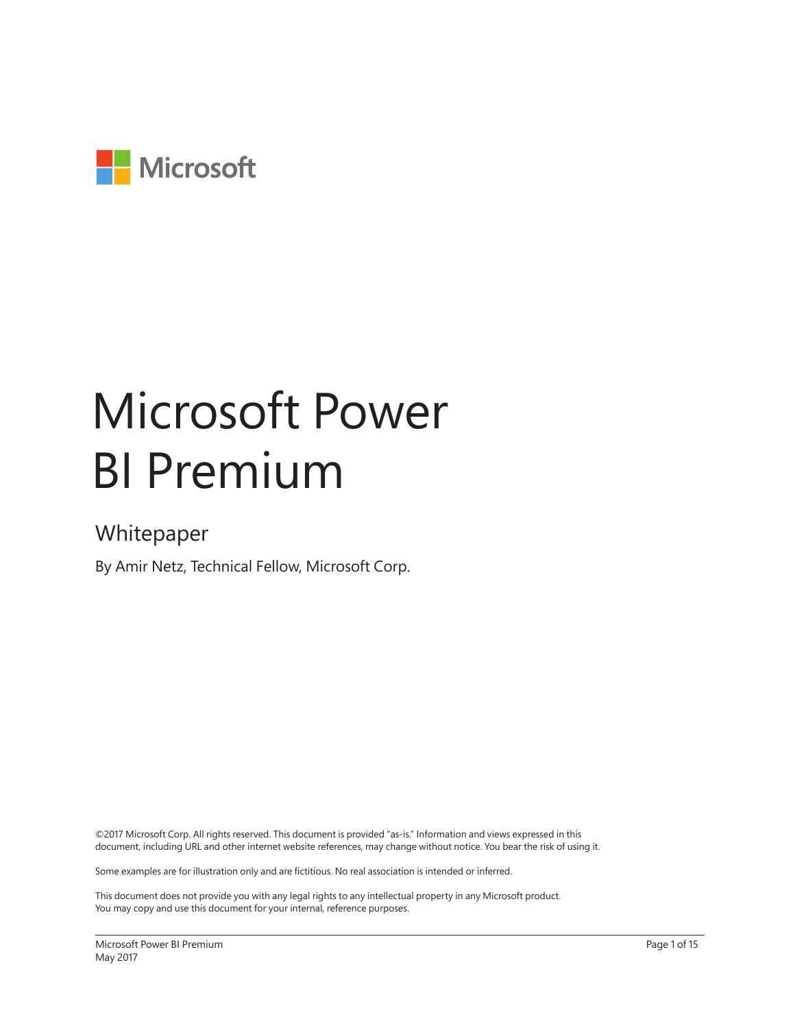

# Microsoft Power BI Premium

### Whitepaper

By Amir Netz, Technical Fellow, Microsoft Corp.

©2017 Microsoft Corp. All rights reserved. This document is provided "as-is." Information and views expressed in this document, including URL and other internet website references, may change without notice. You bear the risk of using it.

Some examples are for illustration only and are fictitious. No real association is intended or inferred.

This document does not provide you with any legal rights to any intellectual property in any Microsoft product. You may copy and use this document for your internal, reference purposes.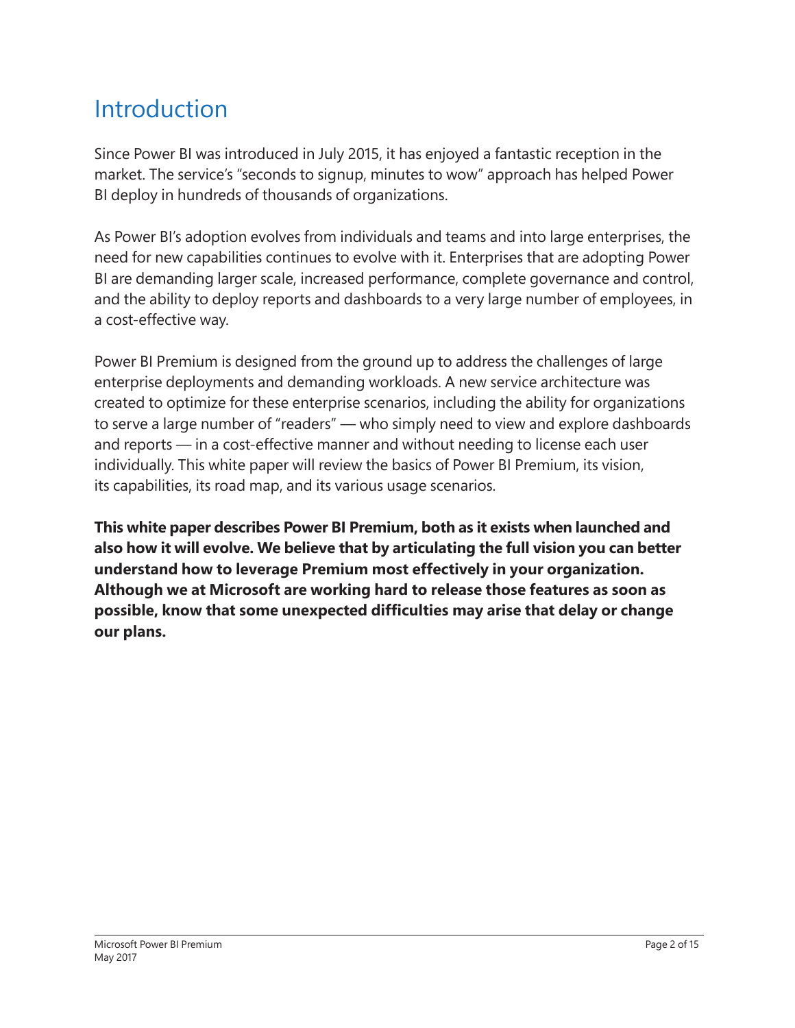### Introduction

Since Power BI was introduced in July 2015, it has enjoyed a fantastic reception in the market. The service's "seconds to signup, minutes to wow" approach has helped Power BI deploy in hundreds of thousands of organizations.

As Power BI's adoption evolves from individuals and teams and into large enterprises, the need for new capabilities continues to evolve with it. Enterprises that are adopting Power BI are demanding larger scale, increased performance, complete governance and control, and the ability to deploy reports and dashboards to a very large number of employees, in a cost-effective way.

Power BI Premium is designed from the ground up to address the challenges of large enterprise deployments and demanding workloads. A new service architecture was created to optimize for these enterprise scenarios, including the ability for organizations to serve a large number of "readers" — who simply need to view and explore dashboards and reports — in a cost-effective manner and without needing to license each user individually. This white paper will review the basics of Power BI Premium, its vision, its capabilities, its road map, and its various usage scenarios.

**This white paper describes Power BI Premium, both as it exists when launched and also how it will evolve. We believe that by articulating the full vision you can better understand how to leverage Premium most effectively in your organization. Although we at Microsoft are working hard to release those features as soon as possible, know that some unexpected difficulties may arise that delay or change our plans.**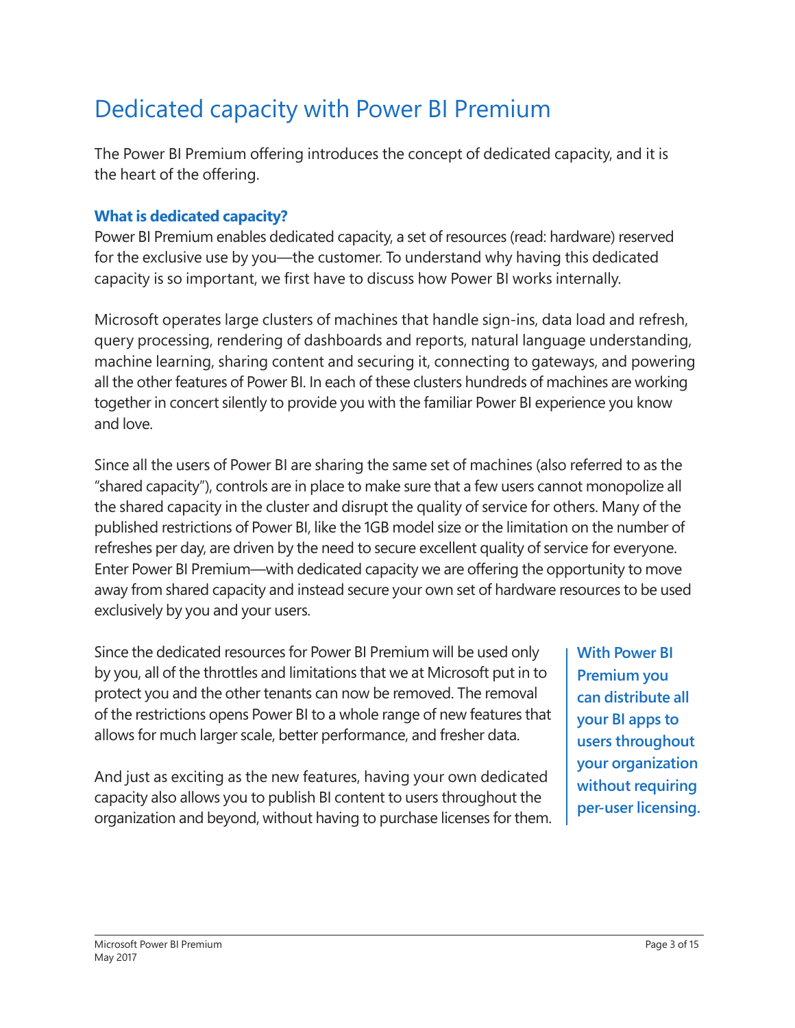### Dedicated capacity with Power BI Premium

The Power BI Premium offering introduces the concept of dedicated capacity, and it is the heart of the offering.

#### **What is dedicated capacity?**

Power BI Premium enables dedicated capacity, a set of resources (read: hardware) reserved for the exclusive use by you—the customer. To understand why having this dedicated capacity is so important, we first have to discuss how Power BI works internally.

Microsoft operates large clusters of machines that handle sign-ins, data load and refresh, query processing, rendering of dashboards and reports, natural language understanding, machine learning, sharing content and securing it, connecting to gateways, and powering all the other features of Power BI. In each of these clusters hundreds of machines are working together in concert silently to provide you with the familiar Power BI experience you know and love.

Since all the users of Power BI are sharing the same set of machines (also referred to as the "shared capacity"), controls are in place to make sure that a few users cannot monopolize all the shared capacity in the cluster and disrupt the quality of service for others. Many of the published restrictions of Power BI, like the 1GB model size or the limitation on the number of refreshes per day, are driven by the need to secure excellent quality of service for everyone. Enter Power BI Premium—with dedicated capacity we are offering the opportunity to move away from shared capacity and instead secure your own set of hardware resources to be used exclusively by you and your users.

Since the dedicated resources for Power BI Premium will be used only by you, all of the throttles and limitations that we at Microsoft put in to protect you and the other tenants can now be removed. The removal of the restrictions opens Power BI to a whole range of new features that allows for much larger scale, better performance, and fresher data.

And just as exciting as the new features, having your own dedicated capacity also allows you to publish BI content to users throughout the organization and beyond, without having to purchase licenses for them.

**With Power BI Premium you can distribute all your BI apps to users throughout your organization without requiring per-user licensing.**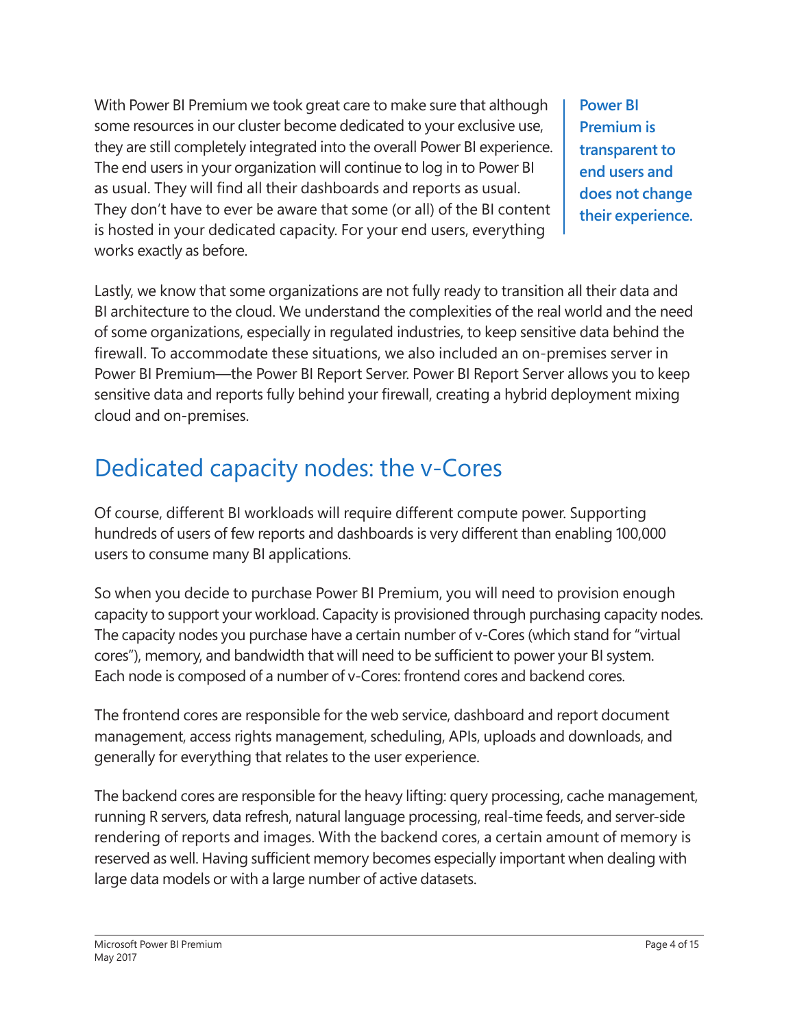With Power BI Premium we took great care to make sure that although some resources in our cluster become dedicated to your exclusive use, they are still completely integrated into the overall Power BI experience. The end users in your organization will continue to log in to Power BI as usual. They will find all their dashboards and reports as usual. They don't have to ever be aware that some (or all) of the BI content is hosted in your dedicated capacity. For your end users, everything works exactly as before.

**Power BI Premium is transparent to end users and does not change their experience.**

Lastly, we know that some organizations are not fully ready to transition all their data and BI architecture to the cloud. We understand the complexities of the real world and the need of some organizations, especially in regulated industries, to keep sensitive data behind the firewall. To accommodate these situations, we also included an on-premises server in Power BI Premium—the Power BI Report Server. Power BI Report Server allows you to keep sensitive data and reports fully behind your firewall, creating a hybrid deployment mixing cloud and on-premises.

## Dedicated capacity nodes: the v-Cores

Of course, different BI workloads will require different compute power. Supporting hundreds of users of few reports and dashboards is very different than enabling 100,000 users to consume many BI applications.

So when you decide to purchase Power BI Premium, you will need to provision enough capacity to support your workload. Capacity is provisioned through purchasing capacity nodes. The capacity nodes you purchase have a certain number of v-Cores (which stand for "virtual cores"), memory, and bandwidth that will need to be sufficient to power your BI system. Each node is composed of a number of v-Cores: frontend cores and backend cores.

The frontend cores are responsible for the web service, dashboard and report document management, access rights management, scheduling, APIs, uploads and downloads, and generally for everything that relates to the user experience.

The backend cores are responsible for the heavy lifting: query processing, cache management, running R servers, data refresh, natural language processing, real-time feeds, and server-side rendering of reports and images. With the backend cores, a certain amount of memory is reserved as well. Having sufficient memory becomes especially important when dealing with large data models or with a large number of active datasets.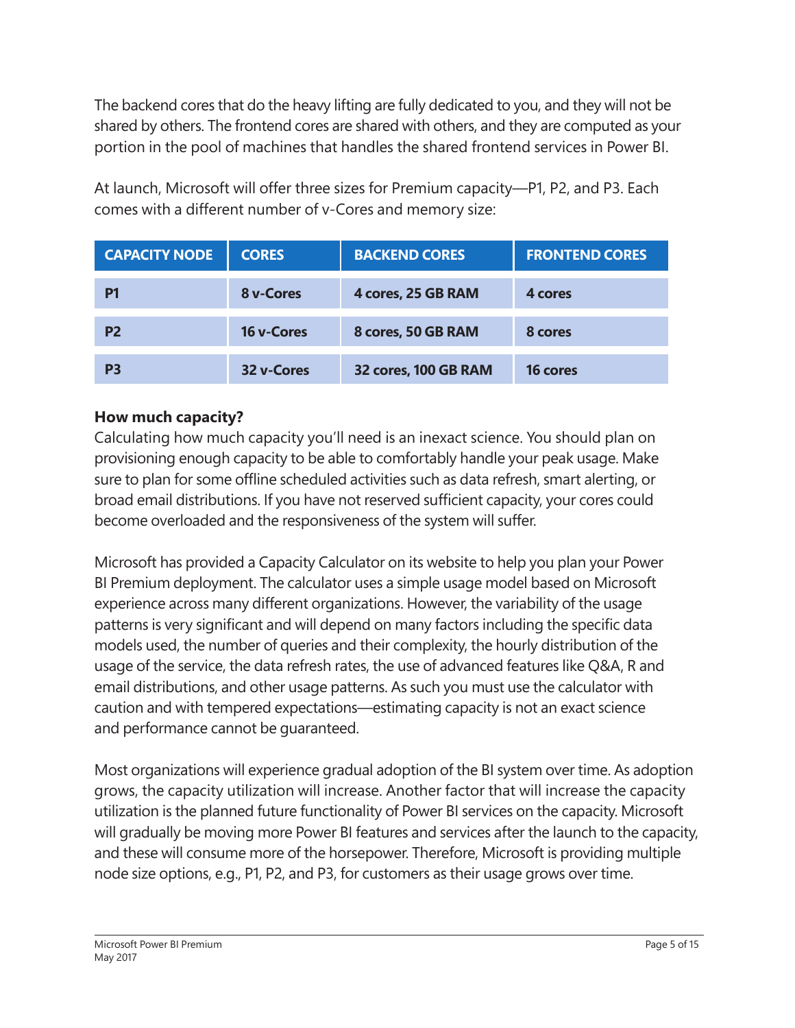The backend cores that do the heavy lifting are fully dedicated to you, and they will not be shared by others. The frontend cores are shared with others, and they are computed as your portion in the pool of machines that handles the shared frontend services in Power BI.

| <b>CAPACITY NODE</b> | <b>CORES</b> | <b>BACKEND CORES</b> | <b>FRONTEND CORES</b> |
|----------------------|--------------|----------------------|-----------------------|
| P1                   | 8 v-Cores    | 4 cores, 25 GB RAM   | 4 cores               |
| P <sub>2</sub>       | 16 v-Cores   | 8 cores, 50 GB RAM   | 8 cores               |
| P3                   | 32 v-Cores   | 32 cores, 100 GB RAM | 16 cores              |

At launch, Microsoft will offer three sizes for Premium capacity—P1, P2, and P3. Each comes with a different number of v-Cores and memory size:

#### **How much capacity?**

Calculating how much capacity you'll need is an inexact science. You should plan on provisioning enough capacity to be able to comfortably handle your peak usage. Make sure to plan for some offline scheduled activities such as data refresh, smart alerting, or broad email distributions. If you have not reserved sufficient capacity, your cores could become overloaded and the responsiveness of the system will suffer.

Microsoft has provided a Capacity Calculator on its website to help you plan your Power BI Premium deployment. The calculator uses a simple usage model based on Microsoft experience across many different organizations. However, the variability of the usage patterns is very significant and will depend on many factors including the specific data models used, the number of queries and their complexity, the hourly distribution of the usage of the service, the data refresh rates, the use of advanced features like Q&A, R and email distributions, and other usage patterns. As such you must use the calculator with caution and with tempered expectations—estimating capacity is not an exact science and performance cannot be guaranteed.

Most organizations will experience gradual adoption of the BI system over time. As adoption grows, the capacity utilization will increase. Another factor that will increase the capacity utilization is the planned future functionality of Power BI services on the capacity. Microsoft will gradually be moving more Power BI features and services after the launch to the capacity, and these will consume more of the horsepower. Therefore, Microsoft is providing multiple node size options, e.g., P1, P2, and P3, for customers as their usage grows over time.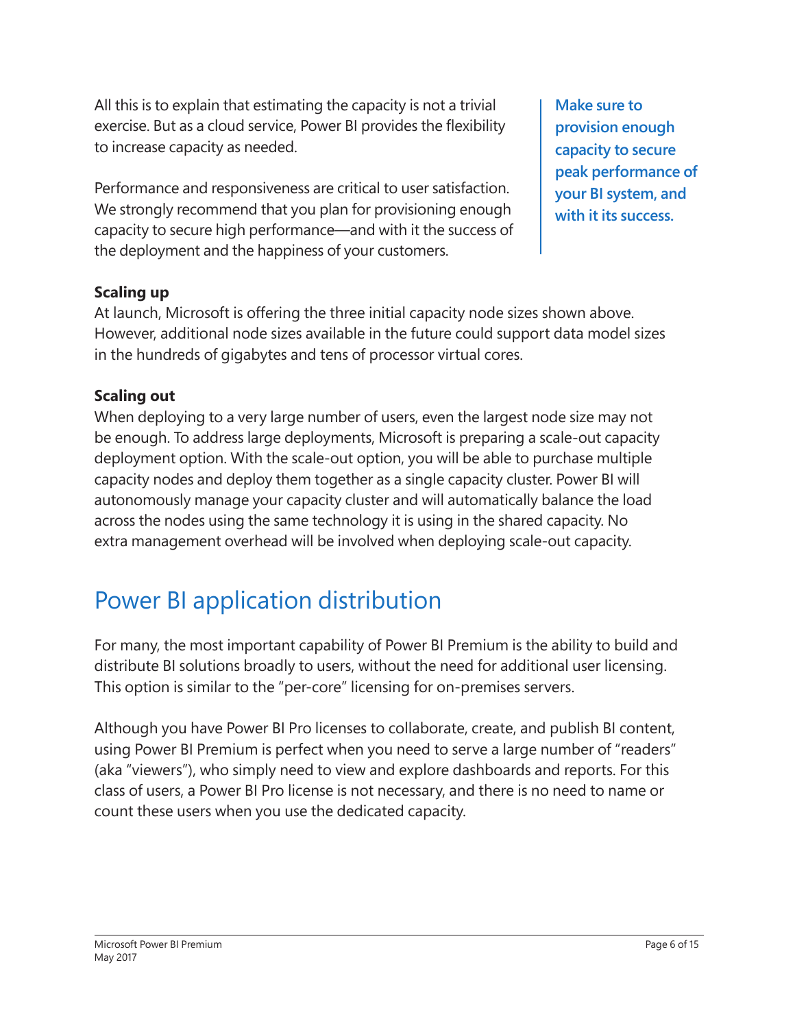All this is to explain that estimating the capacity is not a trivial exercise. But as a cloud service, Power BI provides the flexibility to increase capacity as needed.

Performance and responsiveness are critical to user satisfaction. We strongly recommend that you plan for provisioning enough capacity to secure high performance—and with it the success of the deployment and the happiness of your customers.

**Make sure to provision enough capacity to secure peak performance of your BI system, and with it its success.**

#### **Scaling up**

At launch, Microsoft is offering the three initial capacity node sizes shown above. However, additional node sizes available in the future could support data model sizes in the hundreds of gigabytes and tens of processor virtual cores.

#### **Scaling out**

When deploying to a very large number of users, even the largest node size may not be enough. To address large deployments, Microsoft is preparing a scale-out capacity deployment option. With the scale-out option, you will be able to purchase multiple capacity nodes and deploy them together as a single capacity cluster. Power BI will autonomously manage your capacity cluster and will automatically balance the load across the nodes using the same technology it is using in the shared capacity. No extra management overhead will be involved when deploying scale-out capacity.

### Power BI application distribution

For many, the most important capability of Power BI Premium is the ability to build and distribute BI solutions broadly to users, without the need for additional user licensing. This option is similar to the "per-core" licensing for on-premises servers.

Although you have Power BI Pro licenses to collaborate, create, and publish BI content, using Power BI Premium is perfect when you need to serve a large number of "readers" (aka "viewers"), who simply need to view and explore dashboards and reports. For this class of users, a Power BI Pro license is not necessary, and there is no need to name or count these users when you use the dedicated capacity.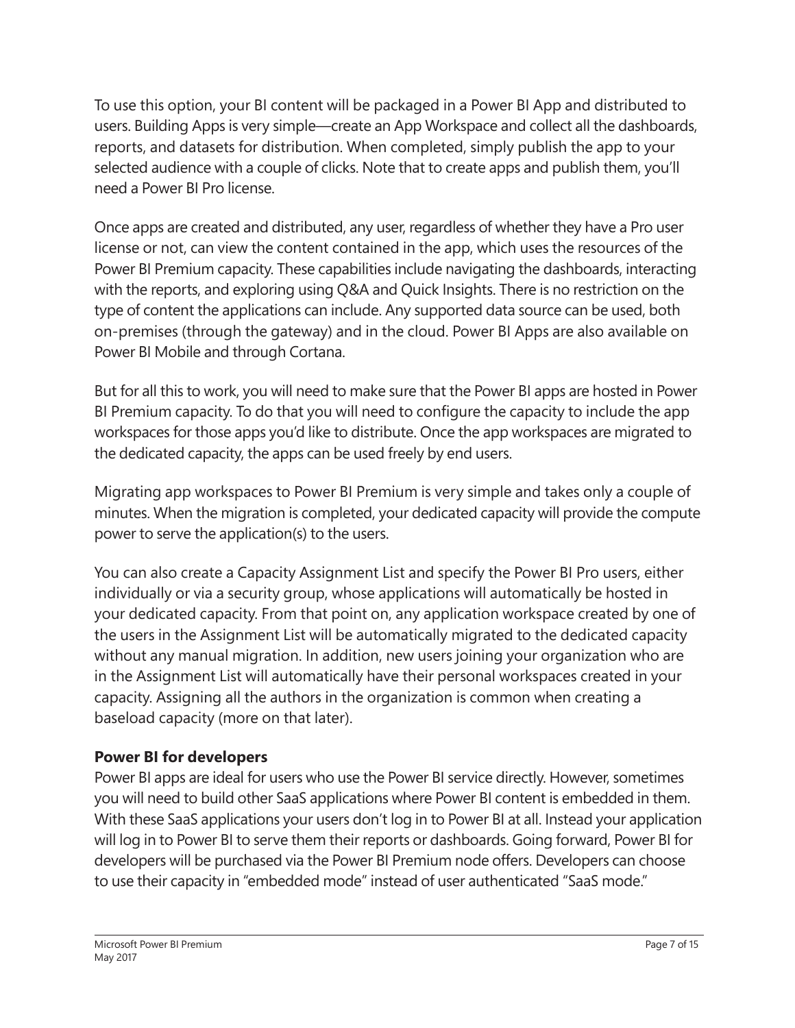To use this option, your BI content will be packaged in a Power BI App and distributed to users. Building Apps is very simple—create an App Workspace and collect all the dashboards, reports, and datasets for distribution. When completed, simply publish the app to your selected audience with a couple of clicks. Note that to create apps and publish them, you'll need a Power BI Pro license.

Once apps are created and distributed, any user, regardless of whether they have a Pro user license or not, can view the content contained in the app, which uses the resources of the Power BI Premium capacity. These capabilities include navigating the dashboards, interacting with the reports, and exploring using Q&A and Quick Insights. There is no restriction on the type of content the applications can include. Any supported data source can be used, both on-premises (through the gateway) and in the cloud. Power BI Apps are also available on Power BI Mobile and through Cortana.

But for all this to work, you will need to make sure that the Power BI apps are hosted in Power BI Premium capacity. To do that you will need to configure the capacity to include the app workspaces for those apps you'd like to distribute. Once the app workspaces are migrated to the dedicated capacity, the apps can be used freely by end users.

Migrating app workspaces to Power BI Premium is very simple and takes only a couple of minutes. When the migration is completed, your dedicated capacity will provide the compute power to serve the application(s) to the users.

You can also create a Capacity Assignment List and specify the Power BI Pro users, either individually or via a security group, whose applications will automatically be hosted in your dedicated capacity. From that point on, any application workspace created by one of the users in the Assignment List will be automatically migrated to the dedicated capacity without any manual migration. In addition, new users joining your organization who are in the Assignment List will automatically have their personal workspaces created in your capacity. Assigning all the authors in the organization is common when creating a baseload capacity (more on that later).

#### **Power BI for developers**

Power BI apps are ideal for users who use the Power BI service directly. However, sometimes you will need to build other SaaS applications where Power BI content is embedded in them. With these SaaS applications your users don't log in to Power BI at all. Instead your application will log in to Power BI to serve them their reports or dashboards. Going forward, Power BI for developers will be purchased via the Power BI Premium node offers. Developers can choose to use their capacity in "embedded mode" instead of user authenticated "SaaS mode."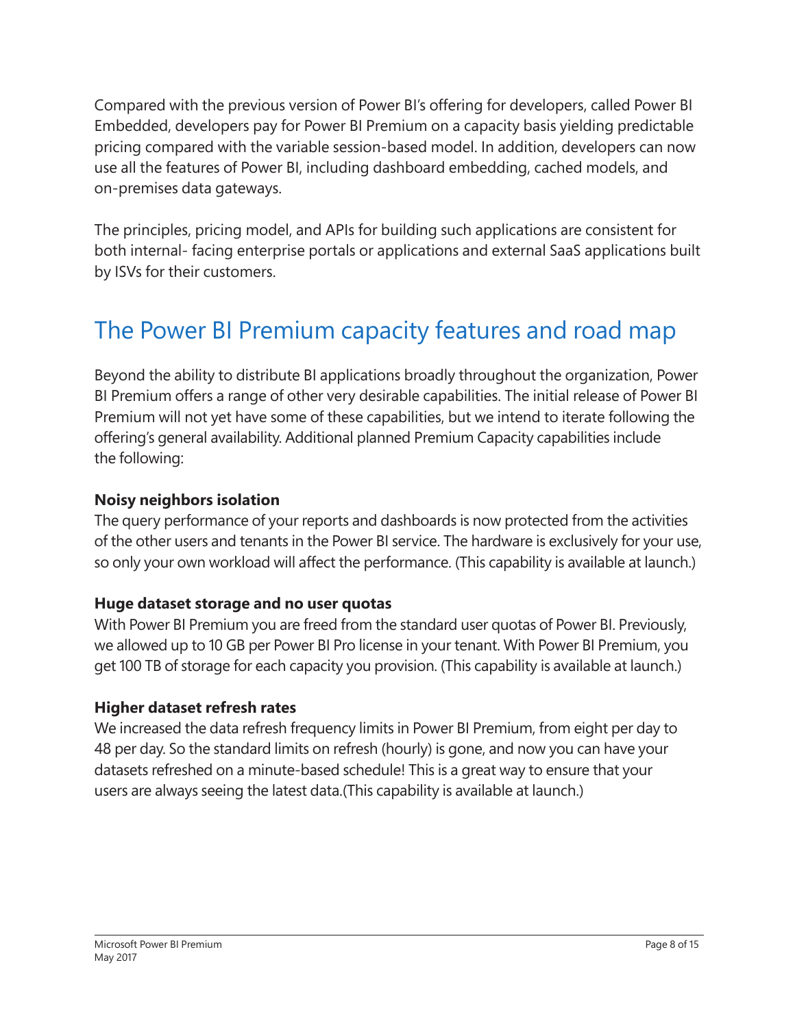Compared with the previous version of Power BI's offering for developers, called Power BI Embedded, developers pay for Power BI Premium on a capacity basis yielding predictable pricing compared with the variable session-based model. In addition, developers can now use all the features of Power BI, including dashboard embedding, cached models, and on-premises data gateways.

The principles, pricing model, and APIs for building such applications are consistent for both internal- facing enterprise portals or applications and external SaaS applications built by ISVs for their customers.

### The Power BI Premium capacity features and road map

Beyond the ability to distribute BI applications broadly throughout the organization, Power BI Premium offers a range of other very desirable capabilities. The initial release of Power BI Premium will not yet have some of these capabilities, but we intend to iterate following the offering's general availability. Additional planned Premium Capacity capabilities include the following:

#### **Noisy neighbors isolation**

The query performance of your reports and dashboards is now protected from the activities of the other users and tenants in the Power BI service. The hardware is exclusively for your use, so only your own workload will affect the performance. (This capability is available at launch.)

#### **Huge dataset storage and no user quotas**

With Power BI Premium you are freed from the standard user quotas of Power BI. Previously, we allowed up to 10 GB per Power BI Pro license in your tenant. With Power BI Premium, you get 100 TB of storage for each capacity you provision. (This capability is available at launch.)

#### **Higher dataset refresh rates**

We increased the data refresh frequency limits in Power BI Premium, from eight per day to 48 per day. So the standard limits on refresh (hourly) is gone, and now you can have your datasets refreshed on a minute-based schedule! This is a great way to ensure that your users are always seeing the latest data.(This capability is available at launch.)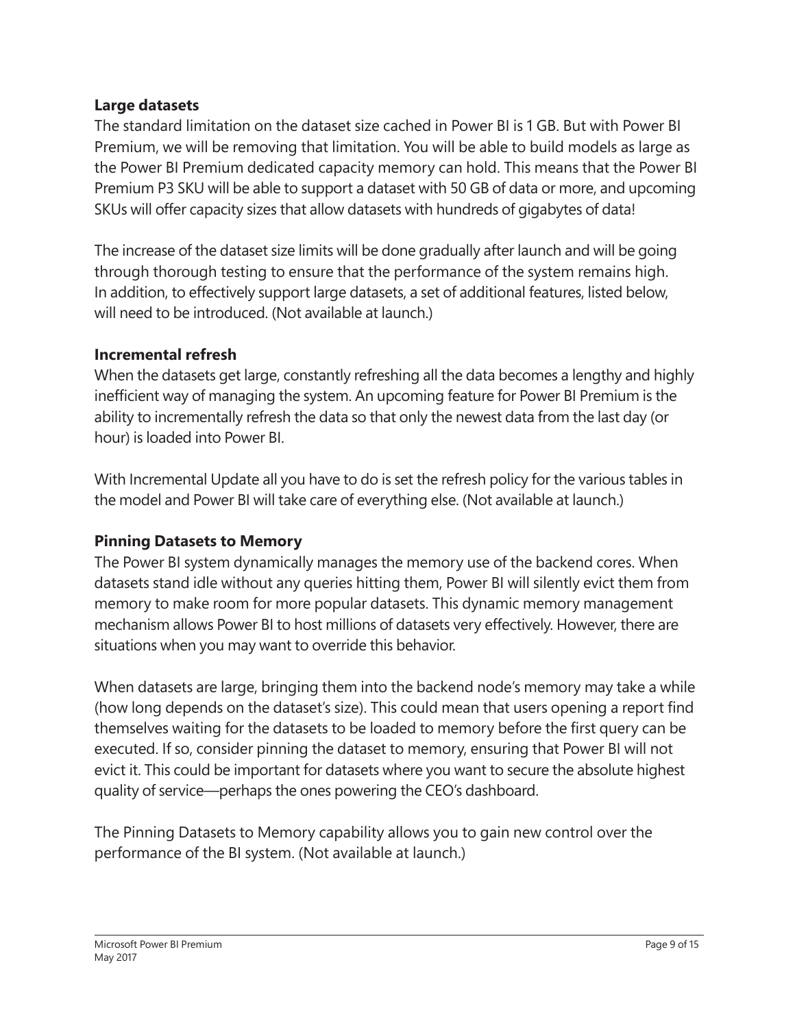#### **Large datasets**

The standard limitation on the dataset size cached in Power BI is 1 GB. But with Power BI Premium, we will be removing that limitation. You will be able to build models as large as the Power BI Premium dedicated capacity memory can hold. This means that the Power BI Premium P3 SKU will be able to support a dataset with 50 GB of data or more, and upcoming SKUs will offer capacity sizes that allow datasets with hundreds of gigabytes of data!

The increase of the dataset size limits will be done gradually after launch and will be going through thorough testing to ensure that the performance of the system remains high. In addition, to effectively support large datasets, a set of additional features, listed below, will need to be introduced. (Not available at launch.)

#### **Incremental refresh**

When the datasets get large, constantly refreshing all the data becomes a lengthy and highly inefficient way of managing the system. An upcoming feature for Power BI Premium is the ability to incrementally refresh the data so that only the newest data from the last day (or hour) is loaded into Power BI.

With Incremental Update all you have to do is set the refresh policy for the various tables in the model and Power BI will take care of everything else. (Not available at launch.)

#### **Pinning Datasets to Memory**

The Power BI system dynamically manages the memory use of the backend cores. When datasets stand idle without any queries hitting them, Power BI will silently evict them from memory to make room for more popular datasets. This dynamic memory management mechanism allows Power BI to host millions of datasets very effectively. However, there are situations when you may want to override this behavior.

When datasets are large, bringing them into the backend node's memory may take a while (how long depends on the dataset's size). This could mean that users opening a report find themselves waiting for the datasets to be loaded to memory before the first query can be executed. If so, consider pinning the dataset to memory, ensuring that Power BI will not evict it. This could be important for datasets where you want to secure the absolute highest quality of service—perhaps the ones powering the CEO's dashboard.

The Pinning Datasets to Memory capability allows you to gain new control over the performance of the BI system. (Not available at launch.)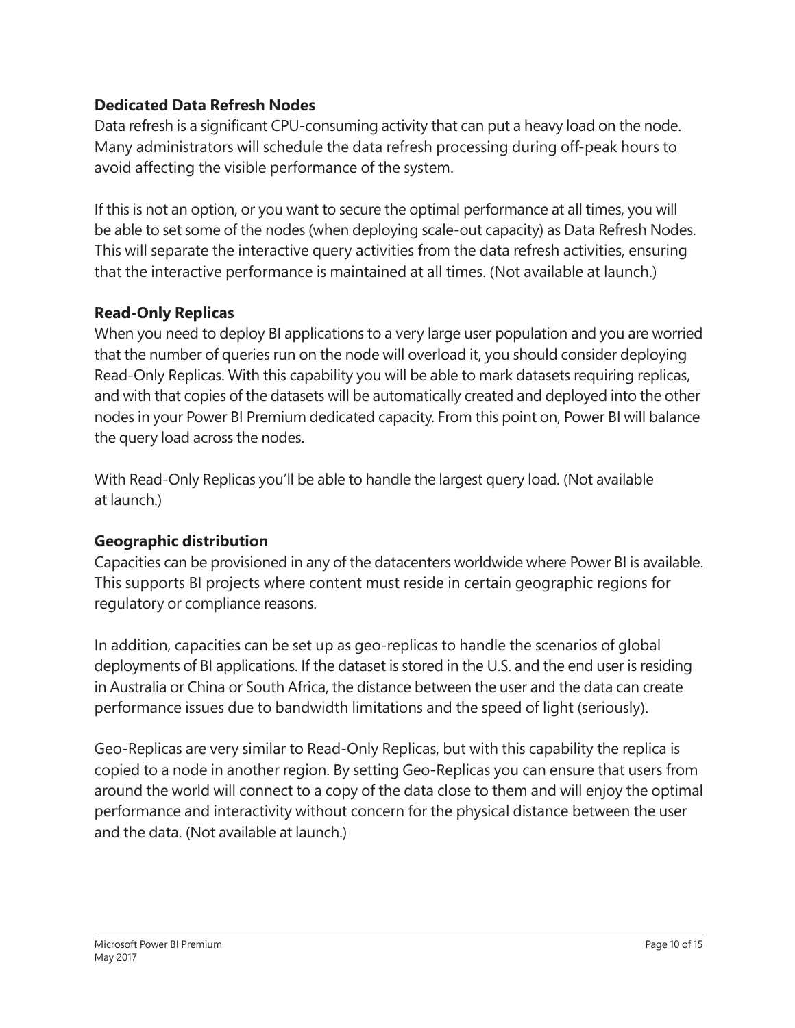#### **Dedicated Data Refresh Nodes**

Data refresh is a significant CPU-consuming activity that can put a heavy load on the node. Many administrators will schedule the data refresh processing during off-peak hours to avoid affecting the visible performance of the system.

If this is not an option, or you want to secure the optimal performance at all times, you will be able to set some of the nodes (when deploying scale-out capacity) as Data Refresh Nodes. This will separate the interactive query activities from the data refresh activities, ensuring that the interactive performance is maintained at all times. (Not available at launch.)

#### **Read-Only Replicas**

When you need to deploy BI applications to a very large user population and you are worried that the number of queries run on the node will overload it, you should consider deploying Read-Only Replicas. With this capability you will be able to mark datasets requiring replicas, and with that copies of the datasets will be automatically created and deployed into the other nodes in your Power BI Premium dedicated capacity. From this point on, Power BI will balance the query load across the nodes.

With Read-Only Replicas you'll be able to handle the largest query load. (Not available at launch.)

#### **Geographic distribution**

Capacities can be provisioned in any of the datacenters worldwide where Power BI is available. This supports BI projects where content must reside in certain geographic regions for regulatory or compliance reasons.

In addition, capacities can be set up as geo-replicas to handle the scenarios of global deployments of BI applications. If the dataset is stored in the U.S. and the end user is residing in Australia or China or South Africa, the distance between the user and the data can create performance issues due to bandwidth limitations and the speed of light (seriously).

Geo-Replicas are very similar to Read-Only Replicas, but with this capability the replica is copied to a node in another region. By setting Geo-Replicas you can ensure that users from around the world will connect to a copy of the data close to them and will enjoy the optimal performance and interactivity without concern for the physical distance between the user and the data. (Not available at launch.)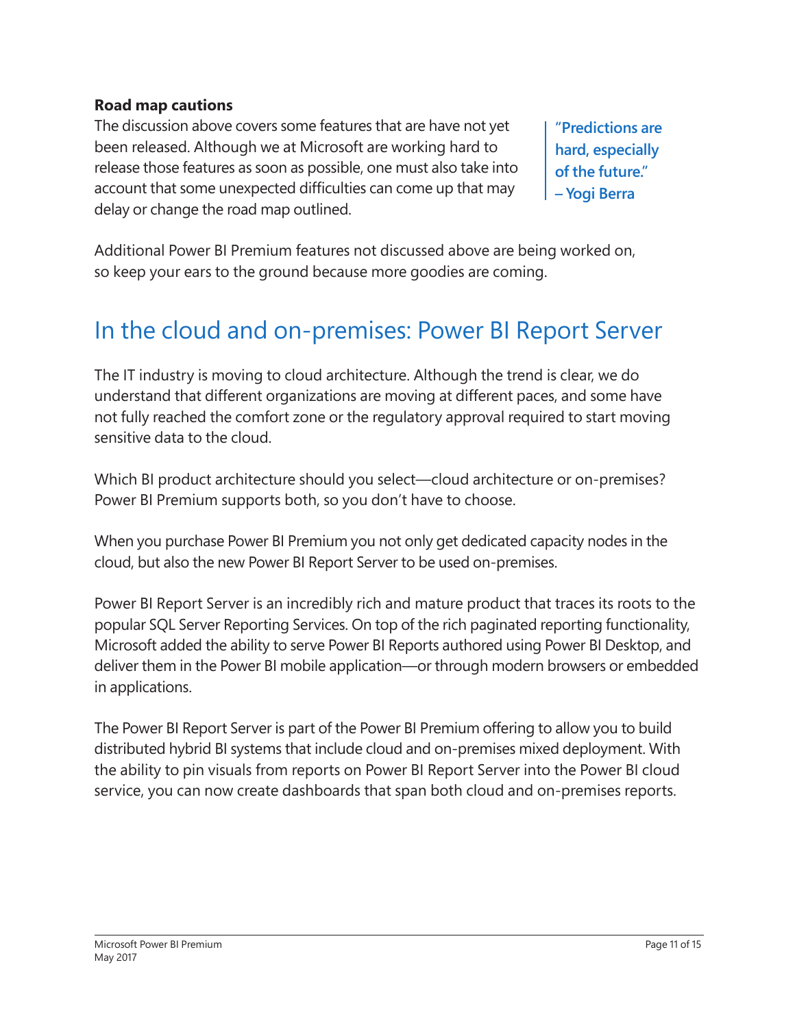#### **Road map cautions**

The discussion above covers some features that are have not yet been released. Although we at Microsoft are working hard to release those features as soon as possible, one must also take into account that some unexpected difficulties can come up that may delay or change the road map outlined.

**"Predictions are hard, especially of the future." – Yogi Berra**

Additional Power BI Premium features not discussed above are being worked on, so keep your ears to the ground because more goodies are coming.

### In the cloud and on-premises: Power BI Report Server

The IT industry is moving to cloud architecture. Although the trend is clear, we do understand that different organizations are moving at different paces, and some have not fully reached the comfort zone or the regulatory approval required to start moving sensitive data to the cloud.

Which BI product architecture should you select—cloud architecture or on-premises? Power BI Premium supports both, so you don't have to choose.

When you purchase Power BI Premium you not only get dedicated capacity nodes in the cloud, but also the new Power BI Report Server to be used on-premises.

Power BI Report Server is an incredibly rich and mature product that traces its roots to the popular SQL Server Reporting Services. On top of the rich paginated reporting functionality, Microsoft added the ability to serve Power BI Reports authored using Power BI Desktop, and deliver them in the Power BI mobile application—or through modern browsers or embedded in applications.

The Power BI Report Server is part of the Power BI Premium offering to allow you to build distributed hybrid BI systems that include cloud and on-premises mixed deployment. With the ability to pin visuals from reports on Power BI Report Server into the Power BI cloud service, you can now create dashboards that span both cloud and on-premises reports.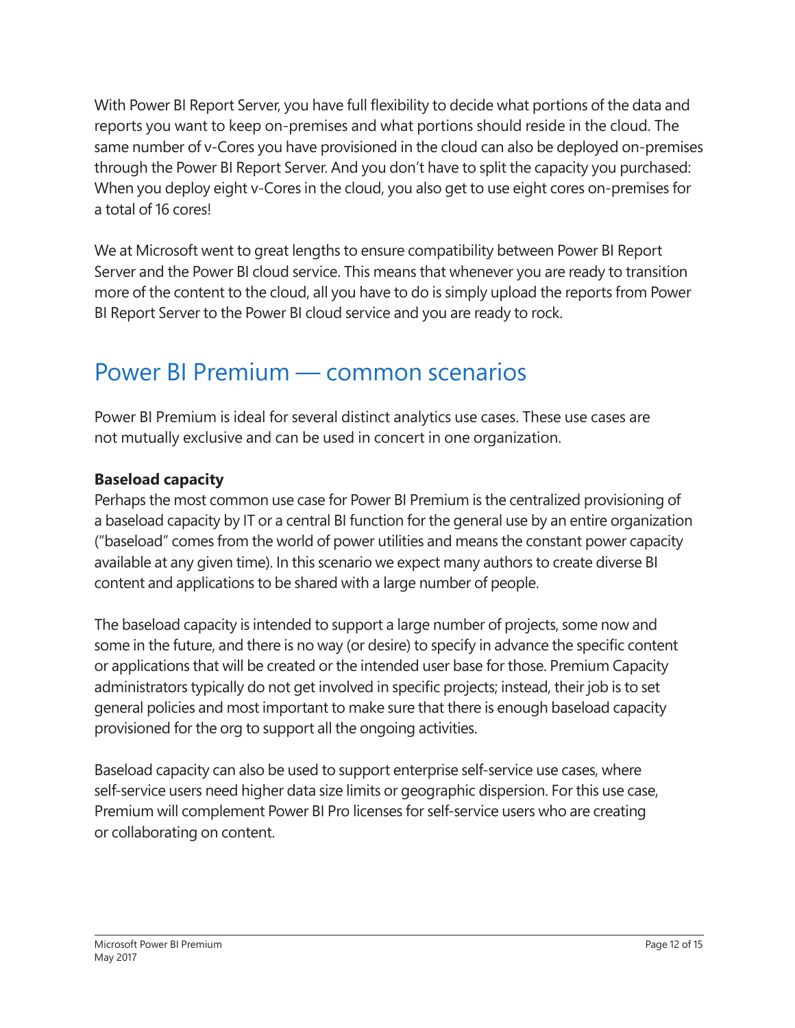With Power BI Report Server, you have full flexibility to decide what portions of the data and reports you want to keep on-premises and what portions should reside in the cloud. The same number of v-Cores you have provisioned in the cloud can also be deployed on-premises through the Power BI Report Server. And you don't have to split the capacity you purchased: When you deploy eight v-Cores in the cloud, you also get to use eight cores on-premises for a total of 16 cores!

We at Microsoft went to great lengths to ensure compatibility between Power BI Report Server and the Power BI cloud service. This means that whenever you are ready to transition more of the content to the cloud, all you have to do is simply upload the reports from Power BI Report Server to the Power BI cloud service and you are ready to rock.

### Power BI Premium — common scenarios

Power BI Premium is ideal for several distinct analytics use cases. These use cases are not mutually exclusive and can be used in concert in one organization.

#### **Baseload capacity**

Perhaps the most common use case for Power BI Premium is the centralized provisioning of a baseload capacity by IT or a central BI function for the general use by an entire organization ("baseload" comes from the world of power utilities and means the constant power capacity available at any given time). In this scenario we expect many authors to create diverse BI content and applications to be shared with a large number of people.

The baseload capacity is intended to support a large number of projects, some now and some in the future, and there is no way (or desire) to specify in advance the specific content or applications that will be created or the intended user base for those. Premium Capacity administrators typically do not get involved in specific projects; instead, their job is to set general policies and most important to make sure that there is enough baseload capacity provisioned for the org to support all the ongoing activities.

Baseload capacity can also be used to support enterprise self-service use cases, where self-service users need higher data size limits or geographic dispersion. For this use case, Premium will complement Power BI Pro licenses for self-service users who are creating or collaborating on content.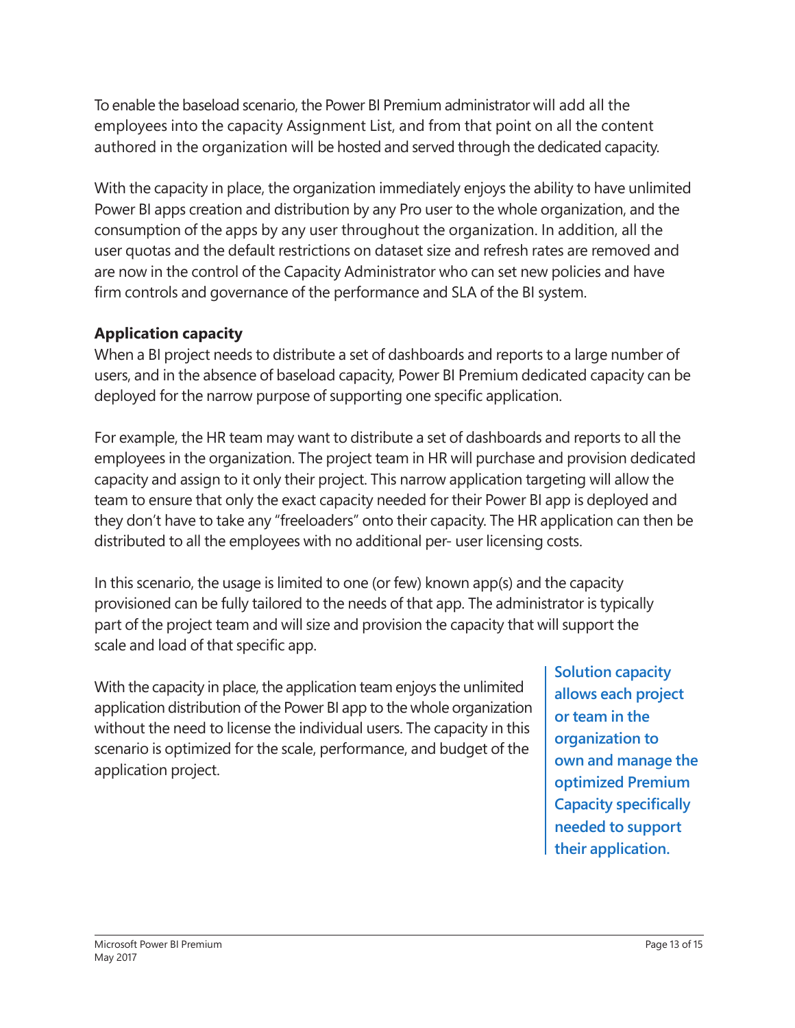To enable the baseload scenario, the Power BI Premium administrator will add all the employees into the capacity Assignment List, and from that point on all the content authored in the organization will be hosted and served through the dedicated capacity.

With the capacity in place, the organization immediately enjoys the ability to have unlimited Power BI apps creation and distribution by any Pro user to the whole organization, and the consumption of the apps by any user throughout the organization. In addition, all the user quotas and the default restrictions on dataset size and refresh rates are removed and are now in the control of the Capacity Administrator who can set new policies and have firm controls and governance of the performance and SLA of the BI system.

#### **Application capacity**

When a BI project needs to distribute a set of dashboards and reports to a large number of users, and in the absence of baseload capacity, Power BI Premium dedicated capacity can be deployed for the narrow purpose of supporting one specific application.

For example, the HR team may want to distribute a set of dashboards and reports to all the employees in the organization. The project team in HR will purchase and provision dedicated capacity and assign to it only their project. This narrow application targeting will allow the team to ensure that only the exact capacity needed for their Power BI app is deployed and they don't have to take any "freeloaders" onto their capacity. The HR application can then be distributed to all the employees with no additional per- user licensing costs.

In this scenario, the usage is limited to one (or few) known app(s) and the capacity provisioned can be fully tailored to the needs of that app. The administrator is typically part of the project team and will size and provision the capacity that will support the scale and load of that specific app.

With the capacity in place, the application team enjoys the unlimited application distribution of the Power BI app to the whole organization without the need to license the individual users. The capacity in this scenario is optimized for the scale, performance, and budget of the application project.

**Solution capacity allows each project or team in the organization to own and manage the optimized Premium Capacity specifically needed to support their application.**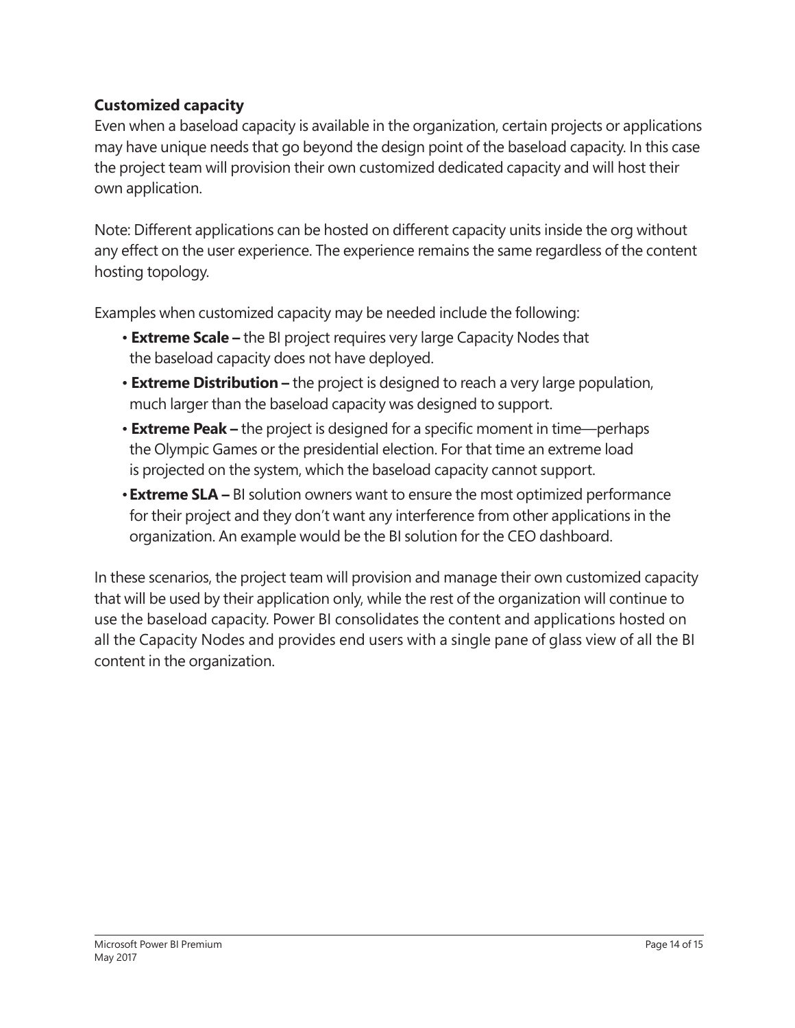#### **Customized capacity**

Even when a baseload capacity is available in the organization, certain projects or applications may have unique needs that go beyond the design point of the baseload capacity. In this case the project team will provision their own customized dedicated capacity and will host their own application.

Note: Different applications can be hosted on different capacity units inside the org without any effect on the user experience. The experience remains the same regardless of the content hosting topology.

Examples when customized capacity may be needed include the following:

- **Extreme Scale –** the BI project requires very large Capacity Nodes that the baseload capacity does not have deployed.
- **Extreme Distribution –** the project is designed to reach a very large population, much larger than the baseload capacity was designed to support.
- • **Extreme Peak –** the project is designed for a specific moment in time—perhaps the Olympic Games or the presidential election. For that time an extreme load is projected on the system, which the baseload capacity cannot support.
- •**Extreme SLA –** BI solution owners want to ensure the most optimized performance for their project and they don't want any interference from other applications in the organization. An example would be the BI solution for the CEO dashboard.

In these scenarios, the project team will provision and manage their own customized capacity that will be used by their application only, while the rest of the organization will continue to use the baseload capacity. Power BI consolidates the content and applications hosted on all the Capacity Nodes and provides end users with a single pane of glass view of all the BI content in the organization.